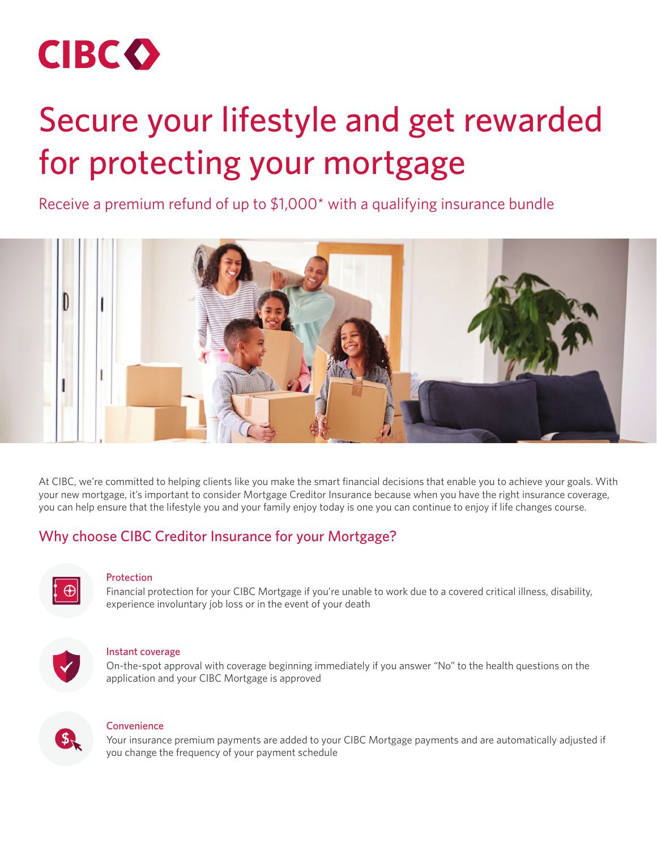

# Secure your lifestyle and get rewarded for protecting your mortgage

Receive a premium refund of up to \$1,000\* with a qualifying insurance bundle



At CIBC, we're committed to helping clients like you make the smart financial decisions that enable you to achieve your goals. With your new mortgage, it's important to consider Mortgage Creditor Insurance because when you have the right insurance coverage, you can help ensure that the lifestyle you and your family enjoy today is one you can continue to enjoy if life changes course.

## Why choose CIBC Creditor Insurance for your Mortgage?



#### Protection

Financial protection for your CIBC Mortgage if you're unable to work due to a covered critical illness, disability, experience involuntary job loss or in the event of your death



#### Instant coverage

On-the-spot approval with coverage beginning immediately if you answer "No" to the health questions on the application and your CIBC Mortgage is approved



#### **Convenience**

Your insurance premium payments are added to your CIBC Mortgage payments and are automatically adjusted if you change the frequency of your payment schedule